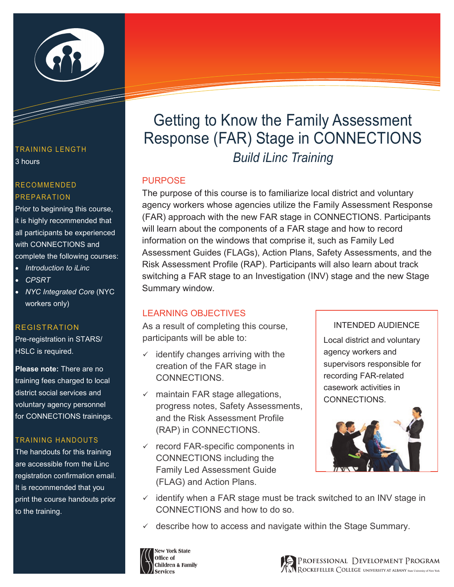

#### TRAINING LENGTH 3 hours

#### RECOMMENDED PREPARATION

Prior to beginning this course, it is highly recommended that all participants be experienced with CONNECTIONS and complete the following courses:

- *Introduction to iLinc*
- *CPSRT*
- *NYC Integrated Core* (NYC workers only)

## REGISTRATION

Pre-registration in STARS/ HSLC is required.

**Please note:** There are no training fees charged to local district social services and voluntary agency personnel for CONNECTIONS trainings.

## TRAINING HANDOUTS

The handouts for this training are accessible from the iLinc registration confirmation email. It is recommended that you print the course handouts prior to the training.

# Getting to Know the Family Assessment Response (FAR) Stage in CONNECTIONS *Build iLinc Training*

## PURPOSE

The purpose of this course is to familiarize local district and voluntary agency workers whose agencies utilize the Family Assessment Response (FAR) approach with the new FAR stage in CONNECTIONS. Participants will learn about the components of a FAR stage and how to record information on the windows that comprise it, such as Family Led Assessment Guides (FLAGs), Action Plans, Safety Assessments, and the Risk Assessment Profile (RAP). Participants will also learn about track switching a FAR stage to an Investigation (INV) stage and the new Stage Summary window.

## LEARNING OBJECTIVES

As a result of completing this course, participants will be able to:

- $\checkmark$  identify changes arriving with the creation of the FAR stage in CONNECTIONS.
- $\times$  maintain FAR stage allegations, progress notes, Safety Assessments, and the Risk Assessment Profile (RAP) in CONNECTIONS.
- $\checkmark$  record FAR-specific components in CONNECTIONS including the Family Led Assessment Guide (FLAG) and Action Plans.

#### INTENDED AUDIENCE

Local district and voluntary agency workers and supervisors responsible for recording FAR-related casework activities in CONNECTIONS.



- $\checkmark$  identify when a FAR stage must be track switched to an INV stage in CONNECTIONS and how to do so.
- describe how to access and navigate within the Stage Summary.